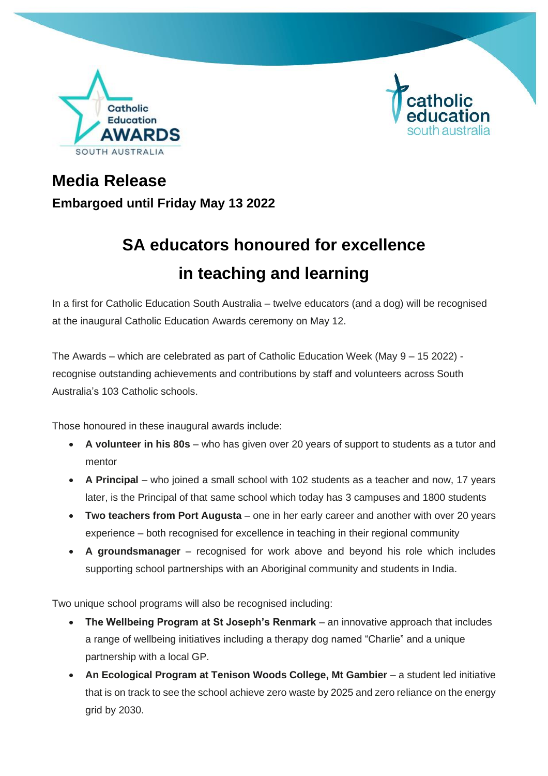



## **Media Release Embargoed until Friday May 13 2022**

# **SA educators honoured for excellence in teaching and learning**

In a first for Catholic Education South Australia – twelve educators (and a dog) will be recognised at the inaugural Catholic Education Awards ceremony on May 12.

The Awards – which are celebrated as part of Catholic Education Week (May 9 – 15 2022) recognise outstanding achievements and contributions by staff and volunteers across South Australia's 103 Catholic schools.

Those honoured in these inaugural awards include:

- **A volunteer in his 80s** who has given over 20 years of support to students as a tutor and mentor
- A Principal who joined a small school with 102 students as a teacher and now, 17 years later, is the Principal of that same school which today has 3 campuses and 1800 students
- **Two teachers from Port Augusta** one in her early career and another with over 20 years experience – both recognised for excellence in teaching in their regional community
- **A groundsmanager**  recognised for work above and beyond his role which includes supporting school partnerships with an Aboriginal community and students in India.

Two unique school programs will also be recognised including:

- **The Wellbeing Program at St Joseph's Renmark** an innovative approach that includes a range of wellbeing initiatives including a therapy dog named "Charlie" and a unique partnership with a local GP.
- **An Ecological Program at Tenison Woods College, Mt Gambier** a student led initiative that is on track to see the school achieve zero waste by 2025 and zero reliance on the energy grid by 2030.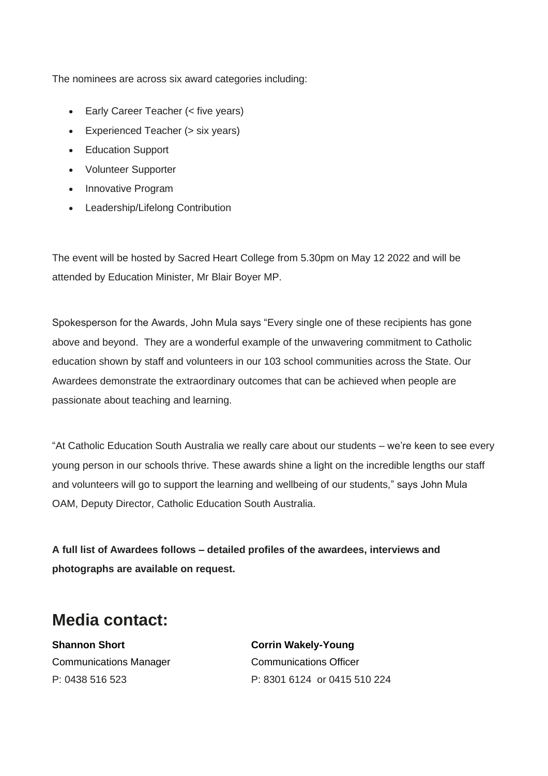The nominees are across six award categories including:

- Early Career Teacher (< five years)
- Experienced Teacher (> six years)
- Education Support
- Volunteer Supporter
- Innovative Program
- Leadership/Lifelong Contribution

The event will be hosted by Sacred Heart College from 5.30pm on May 12 2022 and will be attended by Education Minister, Mr Blair Boyer MP.

Spokesperson for the Awards, John Mula says "Every single one of these recipients has gone above and beyond. They are a wonderful example of the unwavering commitment to Catholic education shown by staff and volunteers in our 103 school communities across the State. Our Awardees demonstrate the extraordinary outcomes that can be achieved when people are passionate about teaching and learning.

"At Catholic Education South Australia we really care about our students – we're keen to see every young person in our schools thrive. These awards shine a light on the incredible lengths our staff and volunteers will go to support the learning and wellbeing of our students," says John Mula OAM, Deputy Director, Catholic Education South Australia.

**A full list of Awardees follows – detailed profiles of the awardees, interviews and photographs are available on request.**

## **Media contact:**

**Shannon Short Corrin Wakely-Young** Communications Manager Communications Officer

P: 0438 516 523 P: 8301 6124 or 0415 510 224